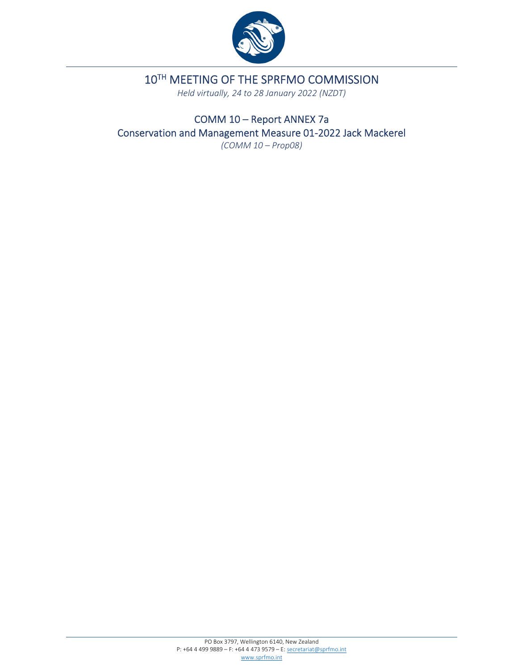

10TH MEETING OF THE SPRFMO COMMISSION

*Held virtually, 24 to 28 January 2022 (NZDT)*

COMM 10 – Report ANNEX 7a Conservation and Management Measure 01‐2022 Jack Mackerel

*(COMM 10 – Prop08)*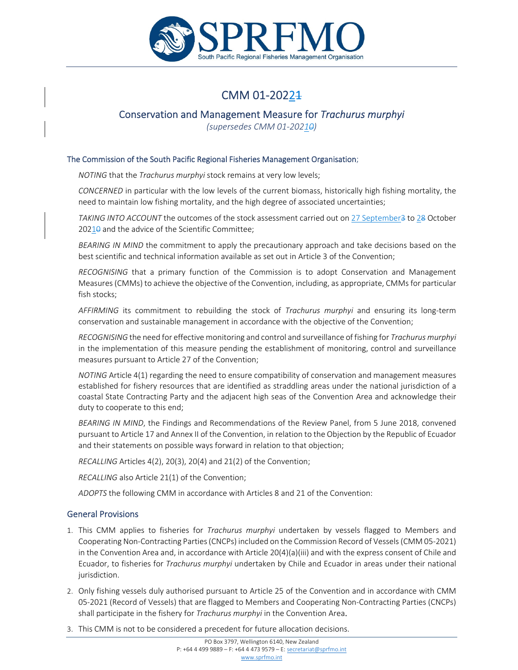

# CMM 01-20224

# Conservation and Management Measure for *Trachurus murphyi*

*(supersedes CMM 01‐20210)*

### The Commission of the South Pacific Regional Fisheries Management Organisation;

*NOTING* that the *Trachurus murphyi* stock remains at very low levels;

*CONCERNED* in particular with the low levels of the current biomass, historically high fishing mortality, the need to maintain low fishing mortality, and the high degree of associated uncertainties;

*TAKING INTO ACCOUNT* the outcomes of the stock assessment carried out on 27 September3 to 28 October 20210 and the advice of the Scientific Committee;

*BEARING IN MIND* the commitment to apply the precautionary approach and take decisions based on the best scientific and technical information available as set out in Article 3 of the Convention;

*RECOGNISING* that a primary function of the Commission is to adopt Conservation and Management Measures(CMMs) to achieve the objective of the Convention, including, as appropriate, CMMsfor particular fish stocks;

*AFFIRMING* its commitment to rebuilding the stock of *Trachurus murphyi* and ensuring its long‐term conservation and sustainable management in accordance with the objective of the Convention;

*RECOGNISING* the need for effective monitoring and control and surveillance of fishing for *Trachurus murphyi* in the implementation of this measure pending the establishment of monitoring, control and surveillance measures pursuant to Article 27 of the Convention;

*NOTING* Article 4(1) regarding the need to ensure compatibility of conservation and management measures established for fishery resources that are identified as straddling areas under the national jurisdiction of a coastal State Contracting Party and the adjacent high seas of the Convention Area and acknowledge their duty to cooperate to this end;

*BEARING IN MIND*, the Findings and Recommendations of the Review Panel, from 5 June 2018, convened pursuant to Article 17 and Annex II of the Convention, in relation to the Objection by the Republic of Ecuador and their statements on possible ways forward in relation to that objection;

*RECALLING* Articles 4(2), 20(3), 20(4) and 21(2) of the Convention;

*RECALLING* also Article 21(1) of the Convention;

*ADOPTS* the following CMM in accordance with Articles 8 and 21 of the Convention:

#### General Provisions

- 1. This CMM applies to fisheries for *Trachurus murphyi* undertaken by vessels flagged to Members and Cooperating Non‐Contracting Parties(CNCPs) included on the Commission Record of Vessels(CMM 05‐2021) in the Convention Area and, in accordance with Article 20(4)(a)(iii) and with the express consent of Chile and Ecuador, to fisheries for *Trachurus murphyi* undertaken by Chile and Ecuador in areas under their national jurisdiction.
- 2. Only fishing vessels duly authorised pursuant to Article 25 of the Convention and in accordance with CMM 05‐2021 (Record of Vessels) that are flagged to Members and Cooperating Non‐Contracting Parties (CNCPs) shall participate in the fishery for *Trachurus murphyi* in the Convention Area.
- 3. This CMM is not to be considered a precedent for future allocation decisions.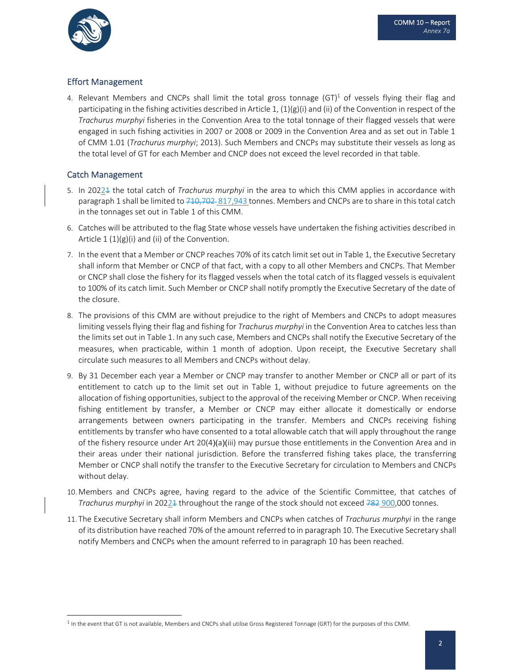

# Effort Management

4. Relevant Members and CNCPs shall limit the total gross tonnage  $(GT)^1$  of vessels flying their flag and participating in the fishing activities described in Article 1,  $(1)(g)(i)$  and (ii) of the Convention in respect of the *Trachurus murphyi* fisheries in the Convention Area to the total tonnage of their flagged vessels that were engaged in such fishing activities in 2007 or 2008 or 2009 in the Convention Area and as set out in Table 1 of CMM 1.01 (*Trachurus murphyi*; 2013). Such Members and CNCPs may substitute their vessels as long as the total level of GT for each Member and CNCP does not exceed the level recorded in that table.

# Catch Management

- 5. In 20221 the total catch of *Trachurus murphyi* in the area to which this CMM applies in accordance with paragraph 1 shall be limited to 710,702 817,943 tonnes. Members and CNCPs are to share in this total catch in the tonnages set out in Table 1 of this CMM.
- 6. Catches will be attributed to the flag State whose vessels have undertaken the fishing activities described in Article  $1 (1)(g)(i)$  and (ii) of the Convention.
- 7. In the event that a Member or CNCP reaches 70% of its catch limit set out in Table 1, the Executive Secretary shall inform that Member or CNCP of that fact, with a copy to all other Members and CNCPs. That Member or CNCP shall close the fishery for its flagged vessels when the total catch of its flagged vessels is equivalent to 100% of its catch limit. Such Member or CNCP shall notify promptly the Executive Secretary of the date of the closure.
- 8. The provisions of this CMM are without prejudice to the right of Members and CNCPs to adopt measures limiting vessels flying their flag and fishing for *Trachurus murphyi* in the Convention Area to catches less than the limits set out in Table 1. In any such case, Members and CNCPs shall notify the Executive Secretary of the measures, when practicable, within 1 month of adoption. Upon receipt, the Executive Secretary shall circulate such measures to all Members and CNCPs without delay.
- 9. By 31 December each year a Member or CNCP may transfer to another Member or CNCP all or part of its entitlement to catch up to the limit set out in Table 1, without prejudice to future agreements on the allocation of fishing opportunities, subject to the approval of the receiving Member or CNCP. When receiving fishing entitlement by transfer, a Member or CNCP may either allocate it domestically or endorse arrangements between owners participating in the transfer. Members and CNCPs receiving fishing entitlements by transfer who have consented to a total allowable catch that will apply throughout the range of the fishery resource under Art 20(4)(a)(iii) may pursue those entitlements in the Convention Area and in their areas under their national jurisdiction. Before the transferred fishing takes place, the transferring Member or CNCP shall notify the transfer to the Executive Secretary for circulation to Members and CNCPs without delay.
- 10. Members and CNCPs agree, having regard to the advice of the Scientific Committee, that catches of *Trachurus murphyi* in 2022<sup>1</sup> throughout the range of the stock should not exceed 782 900,000 tonnes.
- 11. The Executive Secretary shall inform Members and CNCPs when catches of *Trachurus murphyi* in the range of its distribution have reached 70% of the amount referred to in paragraph 10. The Executive Secretary shall notify Members and CNCPs when the amount referred to in paragraph 10 has been reached.

 $<sup>1</sup>$  In the event that GT is not available, Members and CNCPs shall utilise Gross Registered Tonnage (GRT) for the purposes of this CMM.</sup>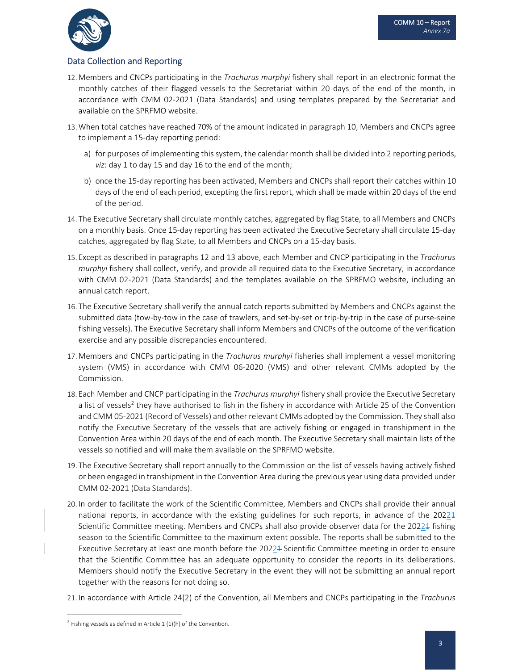

## Data Collection and Reporting

- 12. Members and CNCPs participating in the *Trachurus murphyi* fishery shall report in an electronic format the monthly catches of their flagged vessels to the Secretariat within 20 days of the end of the month, in accordance with CMM 02‐2021 (Data Standards) and using templates prepared by the Secretariat and available on the SPRFMO website.
- 13.When total catches have reached 70% of the amount indicated in paragraph 10, Members and CNCPs agree to implement a 15‐day reporting period:
	- a) for purposes of implementing this system, the calendar month shall be divided into 2 reporting periods, *viz*: day 1 to day 15 and day 16 to the end of the month;
	- b) once the 15‐day reporting has been activated, Members and CNCPs shall report their catches within 10 days of the end of each period, excepting the first report, which shall be made within 20 days of the end of the period.
- 14. The Executive Secretary shall circulate monthly catches, aggregated by flag State, to all Members and CNCPs on a monthly basis. Once 15‐day reporting has been activated the Executive Secretary shall circulate 15‐day catches, aggregated by flag State, to all Members and CNCPs on a 15‐day basis.
- 15. Except as described in paragraphs 12 and 13 above, each Member and CNCP participating in the *Trachurus murphyi* fishery shall collect, verify, and provide all required data to the Executive Secretary, in accordance with CMM 02‐2021 (Data Standards) and the templates available on the SPRFMO website, including an annual catch report.
- 16. The Executive Secretary shall verify the annual catch reports submitted by Members and CNCPs against the submitted data (tow‐by‐tow in the case of trawlers, and set‐by‐set or trip‐by‐trip in the case of purse‐seine fishing vessels). The Executive Secretary shall inform Members and CNCPs of the outcome of the verification exercise and any possible discrepancies encountered.
- 17. Members and CNCPs participating in the *Trachurus murphyi* fisheries shall implement a vessel monitoring system (VMS) in accordance with CMM 06‐2020 (VMS) and other relevant CMMs adopted by the Commission.
- 18. Each Member and CNCP participating in the *Trachurus murphyi* fishery shall provide the Executive Secretary a list of vessels<sup>2</sup> they have authorised to fish in the fishery in accordance with Article 25 of the Convention and CMM 05‐2021 (Record of Vessels) and other relevant CMMs adopted by the Commission. They shall also notify the Executive Secretary of the vessels that are actively fishing or engaged in transhipment in the Convention Area within 20 days of the end of each month. The Executive Secretary shall maintain lists of the vessels so notified and will make them available on the SPRFMO website.
- 19. The Executive Secretary shall report annually to the Commission on the list of vessels having actively fished or been engaged in transhipment in the Convention Area during the previous year using data provided under CMM 02‐2021 (Data Standards).
- 20. In order to facilitate the work of the Scientific Committee, Members and CNCPs shall provide their annual national reports, in accordance with the existing guidelines for such reports, in advance of the 2022+ Scientific Committee meeting. Members and CNCPs shall also provide observer data for the 20224 fishing season to the Scientific Committee to the maximum extent possible. The reports shall be submitted to the Executive Secretary at least one month before the 20221 Scientific Committee meeting in order to ensure that the Scientific Committee has an adequate opportunity to consider the reports in its deliberations. Members should notify the Executive Secretary in the event they will not be submitting an annual report together with the reasons for not doing so.
- 21. In accordance with Article 24(2) of the Convention, all Members and CNCPs participating in the *Trachurus*

<sup>&</sup>lt;sup>2</sup> Fishing vessels as defined in Article 1 (1)(h) of the Convention.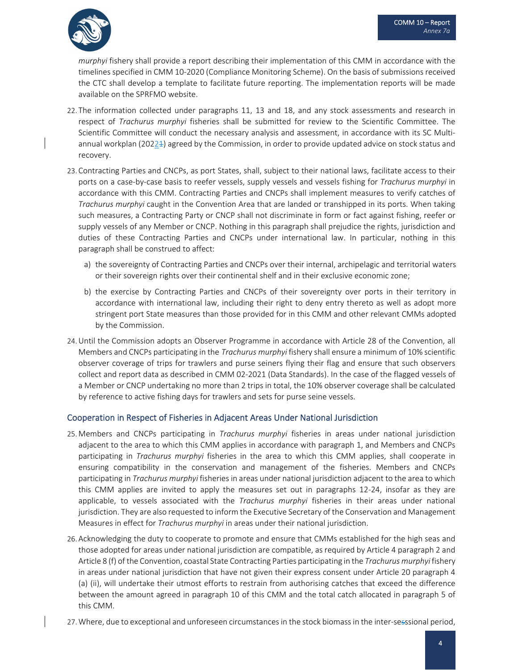

*murphyi* fishery shall provide a report describing their implementation of this CMM in accordance with the timelines specified in CMM 10‐2020 (Compliance Monitoring Scheme). On the basis of submissions received the CTC shall develop a template to facilitate future reporting. The implementation reports will be made available on the SPRFMO website.

- 22. The information collected under paragraphs 11, 13 and 18, and any stock assessments and research in respect of *Trachurus murphyi* fisheries shall be submitted for review to the Scientific Committee. The Scientific Committee will conduct the necessary analysis and assessment, in accordance with its SC Multiannual workplan (2022 $\pm$ ) agreed by the Commission, in order to provide updated advice on stock status and recovery.
- 23. Contracting Parties and CNCPs, as port States, shall, subject to their national laws, facilitate access to their ports on a case‐by‐case basis to reefer vessels, supply vessels and vessels fishing for *Trachurus murphyi* in accordance with this CMM. Contracting Parties and CNCPs shall implement measures to verify catches of *Trachurus murphyi* caught in the Convention Area that are landed or transhipped in its ports. When taking such measures, a Contracting Party or CNCP shall not discriminate in form or fact against fishing, reefer or supply vessels of any Member or CNCP. Nothing in this paragraph shall prejudice the rights, jurisdiction and duties of these Contracting Parties and CNCPs under international law. In particular, nothing in this paragraph shall be construed to affect:
	- a) the sovereignty of Contracting Parties and CNCPs over their internal, archipelagic and territorial waters or their sovereign rights over their continental shelf and in their exclusive economic zone;
	- b) the exercise by Contracting Parties and CNCPs of their sovereignty over ports in their territory in accordance with international law, including their right to deny entry thereto as well as adopt more stringent port State measures than those provided for in this CMM and other relevant CMMs adopted by the Commission.
- 24.Until the Commission adopts an Observer Programme in accordance with Article 28 of the Convention, all Members and CNCPs participating in the *Trachurus murphyi* fishery shall ensure a minimum of 10% scientific observer coverage of trips for trawlers and purse seiners flying their flag and ensure that such observers collect and report data as described in CMM 02‐2021 (Data Standards). In the case of the flagged vessels of a Member or CNCP undertaking no more than 2 trips in total, the 10% observer coverage shall be calculated by reference to active fishing days for trawlers and sets for purse seine vessels.

#### Cooperation in Respect of Fisheries in Adjacent Areas Under National Jurisdiction

- 25. Members and CNCPs participating in *Trachurus murphyi* fisheries in areas under national jurisdiction adjacent to the area to which this CMM applies in accordance with paragraph 1, and Members and CNCPs participating in *Trachurus murphyi* fisheries in the area to which this CMM applies, shall cooperate in ensuring compatibility in the conservation and management of the fisheries. Members and CNCPs participating in *Trachurus murphyi* fisheries in areas under national jurisdiction adjacent to the area to which this CMM applies are invited to apply the measures set out in paragraphs 12‐24, insofar as they are applicable, to vessels associated with the *Trachurus murphyi* fisheries in their areas under national jurisdiction. They are also requested to inform the Executive Secretary of the Conservation and Management Measures in effect for *Trachurus murphyi* in areas under their national jurisdiction.
- 26. Acknowledging the duty to cooperate to promote and ensure that CMMs established for the high seas and those adopted for areas under national jurisdiction are compatible, as required by Article 4 paragraph 2 and Article 8 (f) of the Convention, coastal State Contracting Parties participating in the *Trachurus murphyi* fishery in areas under national jurisdiction that have not given their express consent under Article 20 paragraph 4 (a) (ii), will undertake their utmost efforts to restrain from authorising catches that exceed the difference between the amount agreed in paragraph 10 of this CMM and the total catch allocated in paragraph 5 of this CMM.
- 27. Where, due to exceptional and unforeseen circumstances in the stock biomass in the inter-sesssional period,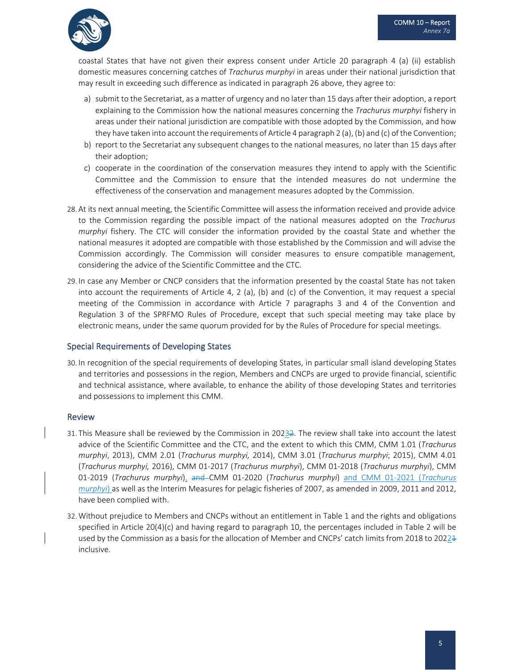coastal States that have not given their express consent under Article 20 paragraph 4 (a) (ii) establish domestic measures concerning catches of *Trachurus murphyi* in areas under their national jurisdiction that may result in exceeding such difference as indicated in paragraph 26 above, they agree to:

- a) submit to the Secretariat, as a matter of urgency and no later than 15 days after their adoption, a report explaining to the Commission how the national measures concerning the *Trachurus murphyi* fishery in areas under their national jurisdiction are compatible with those adopted by the Commission, and how they have taken into account the requirements of Article 4 paragraph 2 (a), (b) and (c) of the Convention;
- b) report to the Secretariat any subsequent changes to the national measures, no later than 15 days after their adoption;
- c) cooperate in the coordination of the conservation measures they intend to apply with the Scientific Committee and the Commission to ensure that the intended measures do not undermine the effectiveness of the conservation and management measures adopted by the Commission.
- 28. At its next annual meeting, the Scientific Committee will assess the information received and provide advice to the Commission regarding the possible impact of the national measures adopted on the *Trachurus murphyi* fishery. The CTC will consider the information provided by the coastal State and whether the national measures it adopted are compatible with those established by the Commission and will advise the Commission accordingly. The Commission will consider measures to ensure compatible management, considering the advice of the Scientific Committee and the CTC.
- 29. In case any Member or CNCP considers that the information presented by the coastal State has not taken into account the requirements of Article 4, 2 (a), (b) and (c) of the Convention, it may request a special meeting of the Commission in accordance with Article 7 paragraphs 3 and 4 of the Convention and Regulation 3 of the SPRFMO Rules of Procedure, except that such special meeting may take place by electronic means, under the same quorum provided for by the Rules of Procedure for special meetings.

#### Special Requirements of Developing States

30. In recognition of the special requirements of developing States, in particular small island developing States and territories and possessions in the region, Members and CNCPs are urged to provide financial, scientific and technical assistance, where available, to enhance the ability of those developing States and territories and possessions to implement this CMM.

#### Review

- 31. This Measure shall be reviewed by the Commission in 20232. The review shall take into account the latest advice of the Scientific Committee and the CTC, and the extent to which this CMM, CMM 1.01 (*Trachurus murphyi*, 2013), CMM 2.01 (*Trachurus murphyi,* 2014), CMM 3.01 (*Trachurus murphyi*; 2015), CMM 4.01 (*Trachurus murphyi,* 2016), CMM 01‐2017 (*Trachurus murphyi*), CMM 01‐2018 (*Trachurus murphyi*), CMM 01‐2019 (*Trachurus murphyi*), and CMM 01‐2020 (*Trachurus murphyi*) and CMM 01‐2021 (*Trachurus murphyi*) as well as the Interim Measures for pelagic fisheries of 2007, as amended in 2009, 2011 and 2012, have been complied with.
- 32.Without prejudice to Members and CNCPs without an entitlement in Table 1 and the rights and obligations specified in Article 20(4)(c) and having regard to paragraph 10, the percentages included in Table 2 will be used by the Commission as a basis for the allocation of Member and CNCPs' catch limits from 2018 to 2022<sup>1</sup> inclusive.